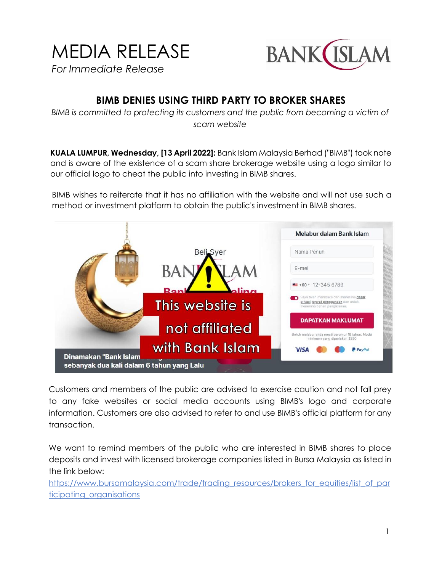## MEDIA RELEASE *For Immediate Release*



## **BIMB DENIES USING THIRD PARTY TO BROKER SHARES**

*BIMB is committed to protecting its customers and the public from becoming a victim of scam website*

**KUALA LUMPUR, Wednesday, [13 April 2022]:** Bank Islam Malaysia Berhad ("BIMB") took note and is aware of the existence of a scam share brokerage website using a logo similar to our official logo to cheat the public into investing in BIMB shares.

BIMB wishes to reiterate that it has no affiliation with the website and will not use such a method or investment platform to obtain the public's investment in BIMB shares.



Customers and members of the public are advised to exercise caution and not fall prey to any fake websites or social media accounts using BIMB's logo and corporate information. Customers are also advised to refer to and use BIMB's official platform for any transaction.

We want to remind members of the public who are interested in BIMB shares to place deposits and invest with licensed brokerage companies listed in Bursa Malaysia as listed in the link below:

[https://www.bursamalaysia.com/trade/trading\\_resources/brokers\\_for\\_equities/list\\_of\\_par](https://www.bursamalaysia.com/trade/trading_resources/brokers_for_equities/list_of_participating_organisations) [ticipating\\_organisations](https://www.bursamalaysia.com/trade/trading_resources/brokers_for_equities/list_of_participating_organisations)